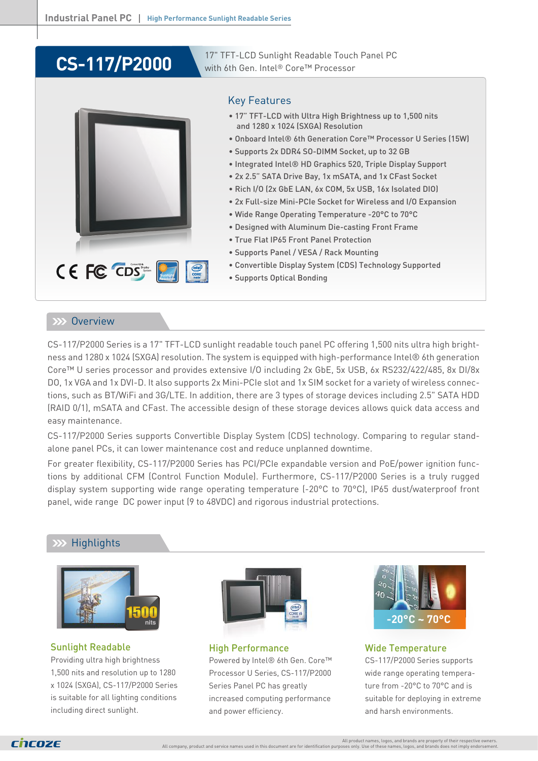# **CS-117/P2000**

17" TFT-LCD Sunlight Readable Touch Panel PC with 6th Gen. Intel® Core™ Processor



#### Key Features

- 17" TFT-LCD with Ultra High Brightness up to 1,500 nits and 1280 x 1024 (SXGA) Resolution
- Onboard Intel® 6th Generation Core™ Processor U Series (15W)
- Supports 2x DDR4 SO-DIMM Socket, up to 32 GB
- Integrated Intel® HD Graphics 520, Triple Display Support
- 2x 2.5" SATA Drive Bay, 1x mSATA, and 1x CFast Socket
- Rich I/O (2x GbE LAN, 6x COM, 5x USB, 16x Isolated DIO)
- 2x Full-size Mini-PCIe Socket for Wireless and I/O Expansion
- Wide Range Operating Temperature -20°C to 70°C
- Designed with Aluminum Die-casting Front Frame
- True Flat IP65 Front Panel Protection
- Supports Panel / VESA / Rack Mounting
- Convertible Display System (CDS) Technology Supported
- Supports Optical Bonding

#### **XXX** Overview

CS-117/P2000 Series is a 17" TFT-LCD sunlight readable touch panel PC offering 1,500 nits ultra high brightness and 1280 x 1024 (SXGA) resolution. The system is equipped with high-performance Intel® 6th generation Core™ U series processor and provides extensive I/O including 2x GbE, 5x USB, 6x RS232/422/485, 8x DI/8x DO, 1x VGA and 1x DVI-D. It also supports 2x Mini-PCIe slot and 1x SIM socket for a variety of wireless connections, such as BT/WiFi and 3G/LTE. In addition, there are 3 types of storage devices including 2.5" SATA HDD (RAID 0/1), mSATA and CFast. The accessible design of these storage devices allows quick data access and easy maintenance.

CS-117/P2000 Series supports Convertible Display System (CDS) technology. Comparing to regular standalone panel PCs, it can lower maintenance cost and reduce unplanned downtime.

For greater flexibility, CS-117/P2000 Series has PCI/PCIe expandable version and PoE/power ignition functions by additional CFM (Control Function Module). Furthermore, CS-117/P2000 Series is a truly rugged display system supporting wide range operating temperature (-20°C to 70°C), IP65 dust/waterproof front panel, wide range DC power input (9 to 48VDC) and rigorous industrial protections.

### **Highlights**



Sunlight Readable Providing ultra high brightness 1,500 nits and resolution up to 1280 x 1024 (SXGA), CS-117/P2000 Series is suitable for all lighting conditions including direct sunlight.



High Performance Powered by Intel® 6th Gen. Core™ Processor U Series, CS-117/P2000 Series Panel PC has greatly increased computing performance and power efficiency.



Wide Temperature CS-117/P2000 Series supports wide range operating temperature from -20°C to 70°C and is suitable for deploying in extreme and harsh environments.

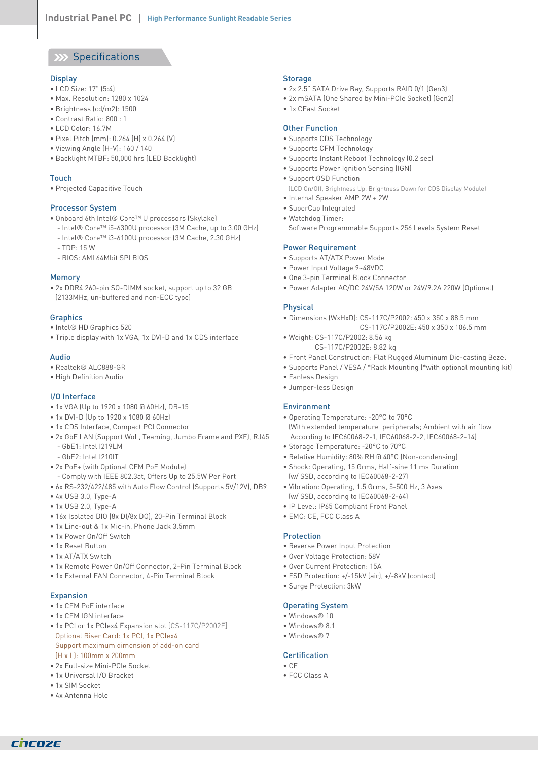### **XX Specifications**

#### **Display**

- LCD Size: 17" (5:4)
- Max. Resolution: 1280 x 1024
- Brightness (cd/m2): 1500
- Contrast Ratio: 800 : 1
- LCD Color: 16.7M
- Pixel Pitch (mm): 0.264 (H) x 0.264 (V)
- Viewing Angle (H-V): 160 / 140
- Backlight MTBF: 50,000 hrs (LED Backlight)

#### Touch

• Projected Capacitive Touch

#### Processor System

- Onboard 6th Intel® Core™ U processors (Skylake)
- Intel® Core™ i5-6300U processor (3M Cache, up to 3.00 GHz) - Intel® Core™ i3-6100U processor (3M Cache, 2.30 GHz)
- TDP: 15 W
- BIOS: AMI 64Mbit SPI BIOS

#### Memory

• 2x DDR4 260-pin SO-DIMM socket, support up to 32 GB (2133MHz, un-buffered and non-ECC type)

#### **Graphics**

- Intel® HD Graphics 520
- Triple display with 1x VGA, 1x DVI-D and 1x CDS interface

#### Audio

- Realtek® ALC888-GR
- High Definition Audio

#### I/O Interface

- 1x VGA (Up to 1920 x 1080 @ 60Hz), DB-15
- 1x DVI-D (Up to 1920 x 1080 @ 60Hz)
- 1x CDS Interface, Compact PCI Connector
- 2x GbE LAN (Support WoL, Teaming, Jumbo Frame and PXE), RJ45 - GbE1: Intel I219LM
	- GbE2: Intel I210IT
- 2x PoE+ (with Optional CFM PoE Module)
- Comply with IEEE 802.3at, Offers Up to 25.5W Per Port
- 6x RS-232/422/485 with Auto Flow Control (Supports 5V/12V), DB9
- 4x USB 3.0, Type-A
- 1x USB 2.0, Type-A
- 16x Isolated DIO (8x DI/8x DO), 20-Pin Terminal Block
- 1x Line-out & 1x Mic-in, Phone Jack 3.5mm
- 1x Power On/Off Switch
- 1x Reset Button
- 1x AT/ATX Switch
- 1x Remote Power On/Off Connector, 2-Pin Terminal Block
- 1x External FAN Connector, 4-Pin Terminal Block

#### Expansion

- 1x CFM PoE interface
- 1x CFM IGN interface
- 1x PCI or 1x PCIex4 Expansion slot [CS-117C/P2002E] Optional Riser Card: 1x PCI, 1x PCIex4 Support maximum dimension of add-on card (H x L): 100mm x 200mm
- 2x Full-size Mini-PCIe Socket
- 1x Universal I/O Bracket
- 1x SIM Socket
- 4x Antenna Hole

CNCOZE

#### Storage

- 2x 2.5" SATA Drive Bay, Supports RAID 0/1 (Gen3)
- 2x mSATA (One Shared by Mini-PCIe Socket) (Gen2)
- 1x CFast Socket

#### Other Function

- Supports CDS Technology
- Supports CFM Technology
- Supports Instant Reboot Technology (0.2 sec)
- Supports Power Ignition Sensing (IGN)
- Support OSD Function
- (LCD On/Off, Brightness Up, Brightness Down for CDS Display Module)
- Internal Speaker AMP 2W + 2W
- SuperCap Integrated
- Watchdog Timer:
- Software Programmable Supports 256 Levels System Reset

#### Power Requirement

- Supports AT/ATX Power Mode
- Power Input Voltage 9~48VDC
- One 3-pin Terminal Block Connector
- Power Adapter AC/DC 24V/5A 120W or 24V/9.2A 220W (Optional)

#### Physical

- Dimensions (WxHxD): CS-117C/P2002: 450 x 350 x 88.5 mm CS-117C/P2002E: 450 x 350 x 106.5 mm
- Weight: CS-117C/P2002: 8.56 kg CS-117C/P2002E: 8.82 kg
- Front Panel Construction: Flat Rugged Aluminum Die-casting Bezel
- Supports Panel / VESA / \*Rack Mounting (\*with optional mounting kit)
- Fanless Design
- Jumper-less Design

#### Environment

- Operating Temperature: -20°C to 70°C
- (With extended temperature peripherals; Ambient with air flow According to IEC60068-2-1, IEC60068-2-2, IEC60068-2-14)
- Storage Temperature: -20°C to 70°C
- Relative Humidity: 80% RH @ 40°C (Non-condensing)
- Shock: Operating, 15 Grms, Half-sine 11 ms Duration (w/ SSD, according to IEC60068-2-27)
- Vibration: Operating, 1.5 Grms, 5-500 Hz, 3 Axes (w/ SSD, according to IEC60068-2-64)
- IP Level: IP65 Compliant Front Panel
- EMC: CE, FCC Class A

#### Protection

- Reverse Power Input Protection
- Over Voltage Protection: 58V
- Over Current Protection: 15A
- ESD Protection: +/-15kV (air), +/-8kV (contact)
- Surge Protection: 3kW

#### Operating System

- Windows® 10
- Windows® 8.1
- Windows® 7

#### Certification

• CE • FCC Class A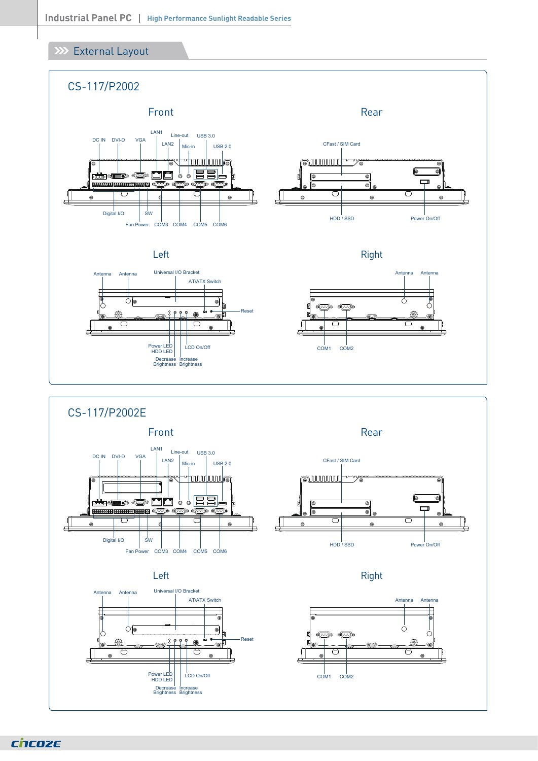### XXX External Layout





chcoze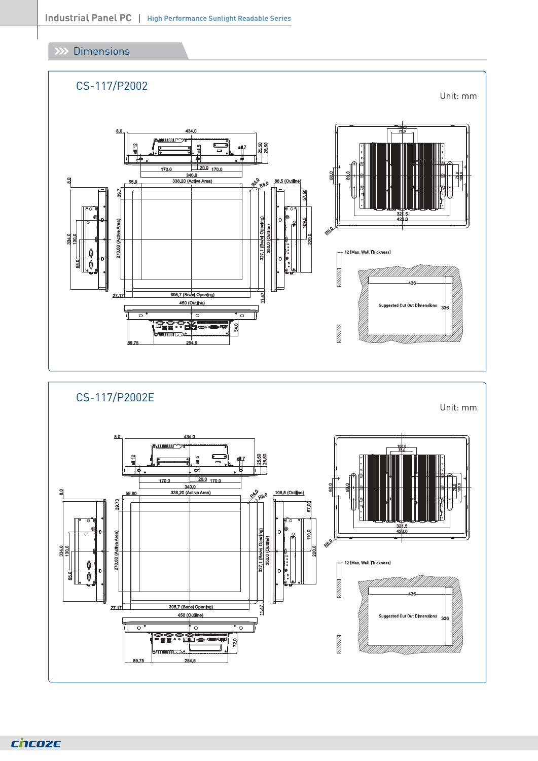### **Dimensions**



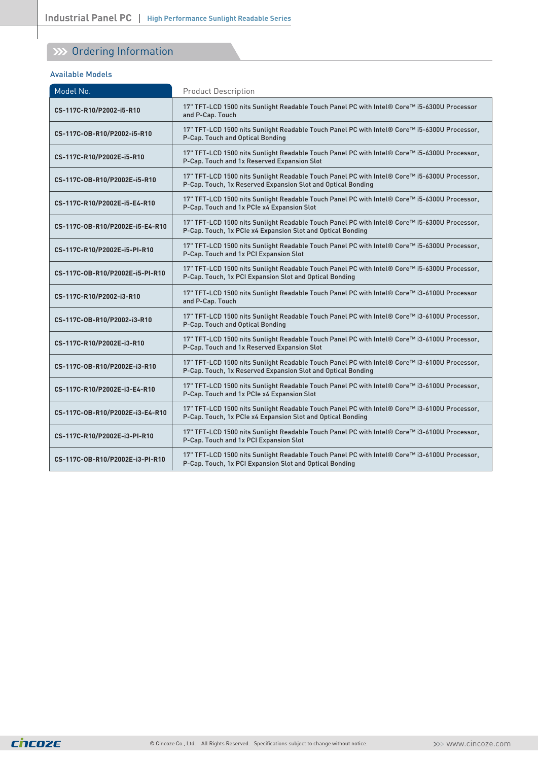## **W** Ordering Information

#### Available Models

| Model No.                       | <b>Product Description</b>                                                                                                                                   |
|---------------------------------|--------------------------------------------------------------------------------------------------------------------------------------------------------------|
| CS-117C-R10/P2002-i5-R10        | 17" TFT-LCD 1500 nits Sunlight Readable Touch Panel PC with Intel® Core™ i5-6300U Processor<br>and P-Cap. Touch                                              |
| CS-117C-0B-R10/P2002-i5-R10     | 17" TFT-LCD 1500 nits Sunlight Readable Touch Panel PC with Intel® Core™ i5-6300U Processor,<br>P-Cap. Touch and Optical Bonding                             |
| CS-117C-R10/P2002E-i5-R10       | 17" TFT-LCD 1500 nits Sunlight Readable Touch Panel PC with Intel® Core™ i5-6300U Processor,<br>P-Cap. Touch and 1x Reserved Expansion Slot                  |
| CS-117C-0B-R10/P2002E-i5-R10    | 17" TFT-LCD 1500 nits Sunlight Readable Touch Panel PC with Intel® Core™ i5-6300U Processor,<br>P-Cap. Touch, 1x Reserved Expansion Slot and Optical Bonding |
| CS-117C-R10/P2002E-i5-E4-R10    | 17" TFT-LCD 1500 nits Sunlight Readable Touch Panel PC with Intel® Core™ i5-6300U Processor,<br>P-Cap. Touch and 1x PCIe x4 Expansion Slot                   |
| CS-117C-0B-R10/P2002E-i5-E4-R10 | 17" TFT-LCD 1500 nits Sunlight Readable Touch Panel PC with Intel® Core™ i5-6300U Processor,<br>P-Cap. Touch, 1x PCIe x4 Expansion Slot and Optical Bonding  |
| CS-117C-R10/P2002E-i5-PI-R10    | 17" TFT-LCD 1500 nits Sunlight Readable Touch Panel PC with Intel® Core™ i5-6300U Processor,<br>P-Cap. Touch and 1x PCI Expansion Slot                       |
| CS-117C-0B-R10/P2002E-i5-PI-R10 | 17" TFT-LCD 1500 nits Sunlight Readable Touch Panel PC with Intel® Core™ i5-6300U Processor,<br>P-Cap. Touch, 1x PCI Expansion Slot and Optical Bonding      |
| CS-117C-R10/P2002-i3-R10        | 17" TFT-LCD 1500 nits Sunlight Readable Touch Panel PC with Intel® Core™ i3-6100U Processor<br>and P-Cap. Touch                                              |
| CS-117C-0B-R10/P2002-i3-R10     | 17" TFT-LCD 1500 nits Sunlight Readable Touch Panel PC with Intel® Core™ i3-6100U Processor,<br>P-Cap. Touch and Optical Bonding                             |
| CS-117C-R10/P2002E-i3-R10       | 17" TFT-LCD 1500 nits Sunlight Readable Touch Panel PC with Intel® Core™ i3-6100U Processor,<br>P-Cap. Touch and 1x Reserved Expansion Slot                  |
| CS-117C-0B-R10/P2002E-i3-R10    | 17" TFT-LCD 1500 nits Sunlight Readable Touch Panel PC with Intel® Core™ i3-6100U Processor,<br>P-Cap. Touch, 1x Reserved Expansion Slot and Optical Bonding |
| CS-117C-R10/P2002E-i3-E4-R10    | 17" TFT-LCD 1500 nits Sunlight Readable Touch Panel PC with Intel® Core™ i3-6100U Processor,<br>P-Cap. Touch and 1x PCIe x4 Expansion Slot                   |
| CS-117C-0B-R10/P2002E-i3-E4-R10 | 17" TFT-LCD 1500 nits Sunlight Readable Touch Panel PC with Intel® Core™ i3-6100U Processor,<br>P-Cap. Touch, 1x PCIe x4 Expansion Slot and Optical Bonding  |
| CS-117C-R10/P2002E-i3-PI-R10    | 17" TFT-LCD 1500 nits Sunlight Readable Touch Panel PC with Intel® Core™ i3-6100U Processor,<br>P-Cap. Touch and 1x PCI Expansion Slot                       |
| CS-117C-0B-R10/P2002E-i3-PI-R10 | 17" TFT-LCD 1500 nits Sunlight Readable Touch Panel PC with Intel® Core™ i3-6100U Processor,<br>P-Cap. Touch, 1x PCI Expansion Slot and Optical Bonding      |